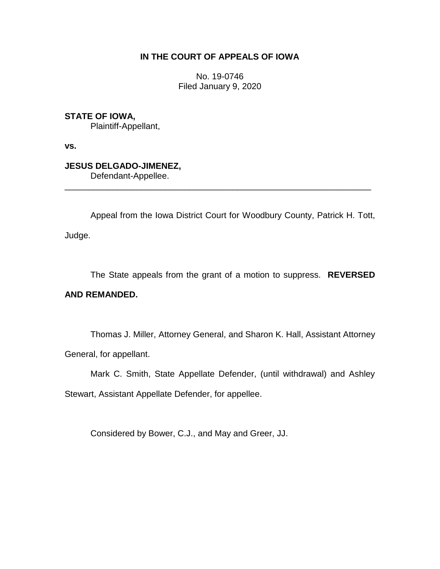## **IN THE COURT OF APPEALS OF IOWA**

No. 19-0746 Filed January 9, 2020

**STATE OF IOWA,** Plaintiff-Appellant,

**vs.**

**JESUS DELGADO-JIMENEZ,** Defendant-Appellee.

Appeal from the Iowa District Court for Woodbury County, Patrick H. Tott, Judge.

\_\_\_\_\_\_\_\_\_\_\_\_\_\_\_\_\_\_\_\_\_\_\_\_\_\_\_\_\_\_\_\_\_\_\_\_\_\_\_\_\_\_\_\_\_\_\_\_\_\_\_\_\_\_\_\_\_\_\_\_\_\_\_\_

The State appeals from the grant of a motion to suppress. **REVERSED** 

### **AND REMANDED.**

Thomas J. Miller, Attorney General, and Sharon K. Hall, Assistant Attorney General, for appellant.

Mark C. Smith, State Appellate Defender, (until withdrawal) and Ashley

Stewart, Assistant Appellate Defender, for appellee.

Considered by Bower, C.J., and May and Greer, JJ.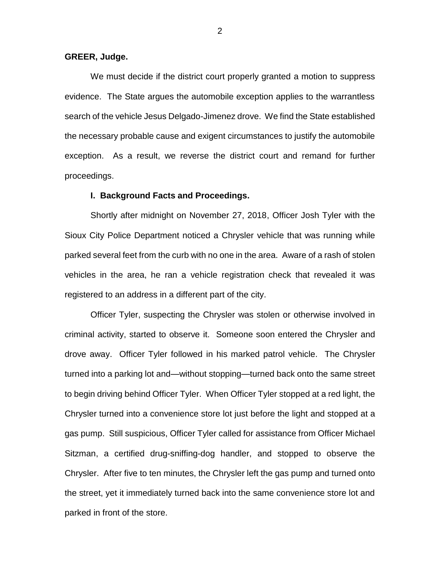#### **GREER, Judge.**

We must decide if the district court properly granted a motion to suppress evidence. The State argues the automobile exception applies to the warrantless search of the vehicle Jesus Delgado-Jimenez drove. We find the State established the necessary probable cause and exigent circumstances to justify the automobile exception. As a result, we reverse the district court and remand for further proceedings.

#### **I. Background Facts and Proceedings.**

Shortly after midnight on November 27, 2018, Officer Josh Tyler with the Sioux City Police Department noticed a Chrysler vehicle that was running while parked several feet from the curb with no one in the area. Aware of a rash of stolen vehicles in the area, he ran a vehicle registration check that revealed it was registered to an address in a different part of the city.

Officer Tyler, suspecting the Chrysler was stolen or otherwise involved in criminal activity, started to observe it. Someone soon entered the Chrysler and drove away. Officer Tyler followed in his marked patrol vehicle. The Chrysler turned into a parking lot and—without stopping—turned back onto the same street to begin driving behind Officer Tyler. When Officer Tyler stopped at a red light, the Chrysler turned into a convenience store lot just before the light and stopped at a gas pump. Still suspicious, Officer Tyler called for assistance from Officer Michael Sitzman, a certified drug-sniffing-dog handler, and stopped to observe the Chrysler. After five to ten minutes, the Chrysler left the gas pump and turned onto the street, yet it immediately turned back into the same convenience store lot and parked in front of the store.

2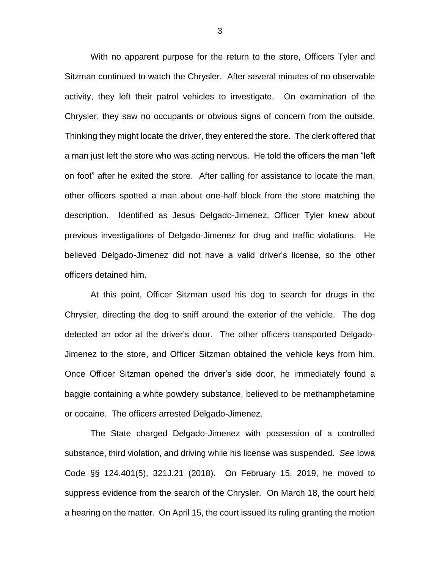With no apparent purpose for the return to the store, Officers Tyler and Sitzman continued to watch the Chrysler. After several minutes of no observable activity, they left their patrol vehicles to investigate. On examination of the Chrysler, they saw no occupants or obvious signs of concern from the outside. Thinking they might locate the driver, they entered the store. The clerk offered that a man just left the store who was acting nervous. He told the officers the man "left on foot" after he exited the store. After calling for assistance to locate the man, other officers spotted a man about one-half block from the store matching the description. Identified as Jesus Delgado-Jimenez, Officer Tyler knew about previous investigations of Delgado-Jimenez for drug and traffic violations. He believed Delgado-Jimenez did not have a valid driver's license, so the other officers detained him.

At this point, Officer Sitzman used his dog to search for drugs in the Chrysler, directing the dog to sniff around the exterior of the vehicle. The dog detected an odor at the driver's door. The other officers transported Delgado-Jimenez to the store, and Officer Sitzman obtained the vehicle keys from him. Once Officer Sitzman opened the driver's side door, he immediately found a baggie containing a white powdery substance, believed to be methamphetamine or cocaine. The officers arrested Delgado-Jimenez.

The State charged Delgado-Jimenez with possession of a controlled substance, third violation, and driving while his license was suspended. *See* Iowa Code §§ 124.401(5), 321J.21 (2018). On February 15, 2019, he moved to suppress evidence from the search of the Chrysler. On March 18, the court held a hearing on the matter. On April 15, the court issued its ruling granting the motion

3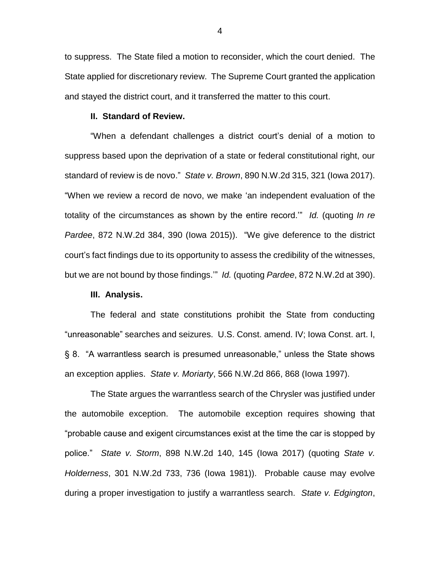to suppress. The State filed a motion to reconsider, which the court denied. The State applied for discretionary review. The Supreme Court granted the application and stayed the district court, and it transferred the matter to this court.

#### **II. Standard of Review.**

"When a defendant challenges a district court's denial of a motion to suppress based upon the deprivation of a state or federal constitutional right, our standard of review is de novo." *State v. Brown*, 890 N.W.2d 315, 321 (Iowa 2017). "When we review a record de novo, we make 'an independent evaluation of the totality of the circumstances as shown by the entire record.'" *Id.* (quoting *In re Pardee*, 872 N.W.2d 384, 390 (Iowa 2015)). "We give deference to the district court's fact findings due to its opportunity to assess the credibility of the witnesses, but we are not bound by those findings.'" *Id.* (quoting *Pardee*, 872 N.W.2d at 390).

#### **III. Analysis.**

The federal and state constitutions prohibit the State from conducting "unreasonable" searches and seizures. U.S. Const. amend. IV; Iowa Const. art. I, § 8. "A warrantless search is presumed unreasonable," unless the State shows an exception applies. *State v. Moriarty*, 566 N.W.2d 866, 868 (Iowa 1997).

The State argues the warrantless search of the Chrysler was justified under the automobile exception. The automobile exception requires showing that "probable cause and exigent circumstances exist at the time the car is stopped by police." *State v. Storm*, 898 N.W.2d 140, 145 (Iowa 2017) (quoting *State v. Holderness*, 301 N.W.2d 733, 736 (Iowa 1981)). Probable cause may evolve during a proper investigation to justify a warrantless search. *State v. Edgington*,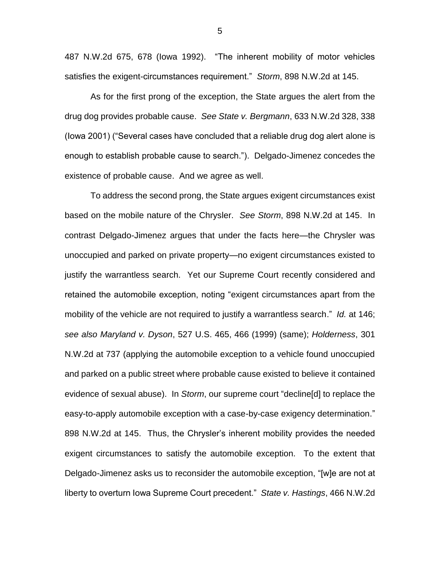487 N.W.2d 675, 678 (Iowa 1992). "The inherent mobility of motor vehicles satisfies the exigent-circumstances requirement." *Storm*, 898 N.W.2d at 145.

As for the first prong of the exception, the State argues the alert from the drug dog provides probable cause. *See State v. Bergmann*, 633 N.W.2d 328, 338 (Iowa 2001) ("Several cases have concluded that a reliable drug dog alert alone is enough to establish probable cause to search."). Delgado-Jimenez concedes the existence of probable cause. And we agree as well.

To address the second prong, the State argues exigent circumstances exist based on the mobile nature of the Chrysler. *See Storm*, 898 N.W.2d at 145. In contrast Delgado-Jimenez argues that under the facts here—the Chrysler was unoccupied and parked on private property—no exigent circumstances existed to justify the warrantless search. Yet our Supreme Court recently considered and retained the automobile exception, noting "exigent circumstances apart from the mobility of the vehicle are not required to justify a warrantless search." *Id.* at 146; *see also Maryland v. Dyson*, 527 U.S. 465, 466 (1999) (same); *Holderness*, 301 N.W.2d at 737 (applying the automobile exception to a vehicle found unoccupied and parked on a public street where probable cause existed to believe it contained evidence of sexual abuse). In *Storm*, our supreme court "decline[d] to replace the easy-to-apply automobile exception with a case-by-case exigency determination." 898 N.W.2d at 145. Thus, the Chrysler's inherent mobility provides the needed exigent circumstances to satisfy the automobile exception. To the extent that Delgado-Jimenez asks us to reconsider the automobile exception, "[w]e are not at liberty to overturn Iowa Supreme Court precedent." *State v. Hastings*, 466 N.W.2d

5